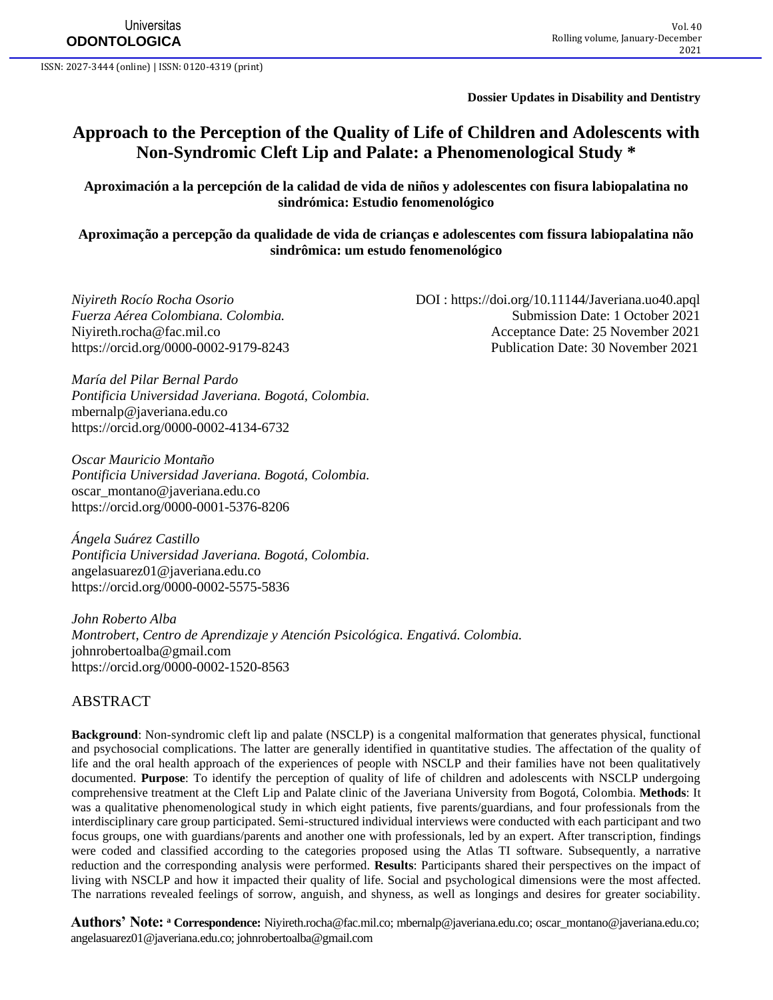Universitas **ODONTOLOGICA**

ISSN: 2027-3444 (online) | ISSN: 0120-4319 (print)

**Dossier Updates in Disability and Dentistry**

# **Approach to the Perception of the Quality of Life of Children and Adolescents with Non-Syndromic Cleft Lip and Palate: a Phenomenological Study \***

**Aproximación a la percepción de la calidad de vida de niños y adolescentes con fisura labiopalatina no sindrómica: Estudio fenomenológico**

**Aproximação a percepção da qualidade de vida de crianças e adolescentes com fissura labiopalatina não sindrômica: um estudo fenomenológico**

*Niyireth Rocío Rocha Osorio* DOI :<https://doi.org/10.11144/Javeriana.uo40.apql> *Fuerza Aérea Colombiana. Colombia.* Submission Date: 1 October 2021 [Niyireth.rocha@fac.mil.co](mailto:Niyireth.rocha@fac.mil.co) Acceptance Date: 25 November 2021 <https://orcid.org/0000-0002-9179-8243> Publication Date: 30 November 2021

*María del Pilar Bernal Pardo Pontificia Universidad Javeriana. Bogotá, Colombia.*  [mbernalp@javeriana.edu.co](mailto:mbernalp@javeriana.edu.co) <https://orcid.org/0000-0002-4134-6732>

*Oscar Mauricio Montaño Pontificia Universidad Javeriana. Bogotá, Colombia.* oscar\_montan[o@javeriana.edu.co](mailto:mbernalp@javeriana.edu.co) <https://orcid.org/0000-0001-5376-8206>

*Ángela Suárez Castillo Pontificia Universidad Javeriana. Bogotá, Colombia.* angelasuarez0[1@javeriana.edu.co](mailto:mbernalp@javeriana.edu.co) <https://orcid.org/0000-0002-5575-5836>

*John Roberto Alba Montrobert, Centro de Aprendizaje y Atención Psicológica. Engativá. Colombia.* [johnrobertoalba@gmail.com](mailto:johnrobertoalba@gmail.com) <https://orcid.org/0000-0002-1520-8563>

### ABSTRACT

**Background**: Non-syndromic cleft lip and palate (NSCLP) is a congenital malformation that generates physical, functional and psychosocial complications. The latter are generally identified in quantitative studies. The affectation of the quality of life and the oral health approach of the experiences of people with NSCLP and their families have not been qualitatively documented. **Purpose**: To identify the perception of quality of life of children and adolescents with NSCLP undergoing comprehensive treatment at the Cleft Lip and Palate clinic of the Javeriana University from Bogotá, Colombia. **Methods**: It was a qualitative phenomenological study in which eight patients, five parents/guardians, and four professionals from the interdisciplinary care group participated. Semi-structured individual interviews were conducted with each participant and two focus groups, one with guardians/parents and another one with professionals, led by an expert. After transcription, findings were coded and classified according to the categories proposed using the Atlas TI software. Subsequently, a narrative reduction and the corresponding analysis were performed. **Results**: Participants shared their perspectives on the impact of living with NSCLP and how it impacted their quality of life. Social and psychological dimensions were the most affected. The narrations revealed feelings of sorrow, anguish, and shyness, as well as longings and desires for greater sociability.

**Authors' Note: <sup>a</sup> Correspondence:** [Niyireth.rocha@fac.mil.co;](mailto:Niyireth.rocha@fac.mil.co) [mbernalp@javeriana.edu.co;](mailto:mbernalp@javeriana.edu.co;) oscar\_montan[o@javeriana.edu.co;](mailto:@javeriana.edu.co;%20%20angelasuarez)  [angelasuarez0](mailto:@javeriana.edu.co;%20%20angelasuarez)[1@javeriana.edu.co;](mailto:mbernalp@javeriana.edu.co) [johnrobertoalba@gmail.com](mailto:johnrobertoalba@gmail.com)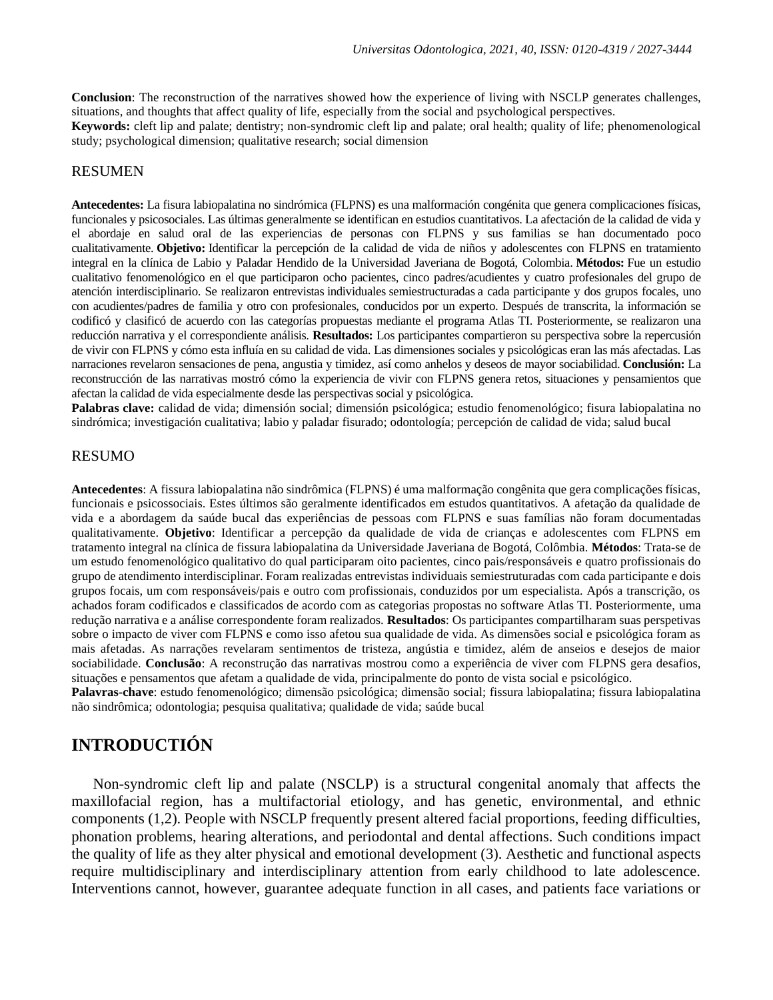**Conclusion**: The reconstruction of the narratives showed how the experience of living with NSCLP generates challenges, situations, and thoughts that affect quality of life, especially from the social and psychological perspectives. **Keywords:** cleft lip and palate; dentistry; non-syndromic cleft lip and palate; oral health; quality of life; phenomenological study; psychological dimension; qualitative research; social dimension

#### RESUMEN

**Antecedentes:** La fisura labiopalatina no sindrómica (FLPNS) es una malformación congénita que genera complicaciones físicas, funcionales y psicosociales. Las últimas generalmente se identifican en estudios cuantitativos. La afectación de la calidad de vida y el abordaje en salud oral de las experiencias de personas con FLPNS y sus familias se han documentado poco cualitativamente. **Objetivo:** Identificar la percepción de la calidad de vida de niños y adolescentes con FLPNS en tratamiento integral en la clínica de Labio y Paladar Hendido de la Universidad Javeriana de Bogotá, Colombia. **Métodos:** Fue un estudio cualitativo fenomenológico en el que participaron ocho pacientes, cinco padres/acudientes y cuatro profesionales del grupo de atención interdisciplinario. Se realizaron entrevistas individuales semiestructuradas a cada participante y dos grupos focales, uno con acudientes/padres de familia y otro con profesionales, conducidos por un experto. Después de transcrita, la información se codificó y clasificó de acuerdo con las categorías propuestas mediante el programa Atlas TI. Posteriormente, se realizaron una reducción narrativa y el correspondiente análisis. **Resultados:** Los participantes compartieron su perspectiva sobre la repercusión de vivir con FLPNS y cómo esta influía en su calidad de vida. Las dimensiones sociales y psicológicas eran las más afectadas. Las narraciones revelaron sensaciones de pena, angustia y timidez, así como anhelos y deseos de mayor sociabilidad. **Conclusión:** La reconstrucción de las narrativas mostró cómo la experiencia de vivir con FLPNS genera retos, situaciones y pensamientos que afectan la calidad de vida especialmente desde las perspectivas social y psicológica.

**Palabras clave:** calidad de vida; dimensión social; dimensión psicológica; estudio fenomenológico; fisura labiopalatina no sindrómica; investigación cualitativa; labio y paladar fisurado; odontología; percepción de calidad de vida; salud bucal

#### RESUMO

**Antecedentes**: A fissura labiopalatina não sindrômica (FLPNS) é uma malformação congênita que gera complicações físicas, funcionais e psicossociais. Estes últimos são geralmente identificados em estudos quantitativos. A afetação da qualidade de vida e a abordagem da saúde bucal das experiências de pessoas com FLPNS e suas famílias não foram documentadas qualitativamente. **Objetivo**: Identificar a percepção da qualidade de vida de crianças e adolescentes com FLPNS em tratamento integral na clínica de fissura labiopalatina da Universidade Javeriana de Bogotá, Colômbia. **Métodos**: Trata-se de um estudo fenomenológico qualitativo do qual participaram oito pacientes, cinco pais/responsáveis e quatro profissionais do grupo de atendimento interdisciplinar. Foram realizadas entrevistas individuais semiestruturadas com cada participante e dois grupos focais, um com responsáveis/pais e outro com profissionais, conduzidos por um especialista. Após a transcrição, os achados foram codificados e classificados de acordo com as categorias propostas no software Atlas TI. Posteriormente, uma redução narrativa e a análise correspondente foram realizados. **Resultados**: Os participantes compartilharam suas perspetivas sobre o impacto de viver com FLPNS e como isso afetou sua qualidade de vida. As dimensões social e psicológica foram as mais afetadas. As narrações revelaram sentimentos de tristeza, angústia e timidez, além de anseios e desejos de maior sociabilidade. **Conclusão**: A reconstrução das narrativas mostrou como a experiência de viver com FLPNS gera desafios, situações e pensamentos que afetam a qualidade de vida, principalmente do ponto de vista social e psicológico.

**Palavras-chave**: estudo fenomenológico; dimensão psicológica; dimensão social; fissura labiopalatina; fissura labiopalatina não sindrômica; odontologia; pesquisa qualitativa; qualidade de vida; saúde bucal

# **INTRODUCTIÓN**

Non-syndromic cleft lip and palate (NSCLP) is a structural congenital anomaly that affects the maxillofacial region, has a multifactorial etiology, and has genetic, environmental, and ethnic components (1,2). People with NSCLP frequently present altered facial proportions, feeding difficulties, phonation problems, hearing alterations, and periodontal and dental affections. Such conditions impact the quality of life as they alter physical and emotional development (3). Aesthetic and functional aspects require multidisciplinary and interdisciplinary attention from early childhood to late adolescence. Interventions cannot, however, guarantee adequate function in all cases, and patients face variations or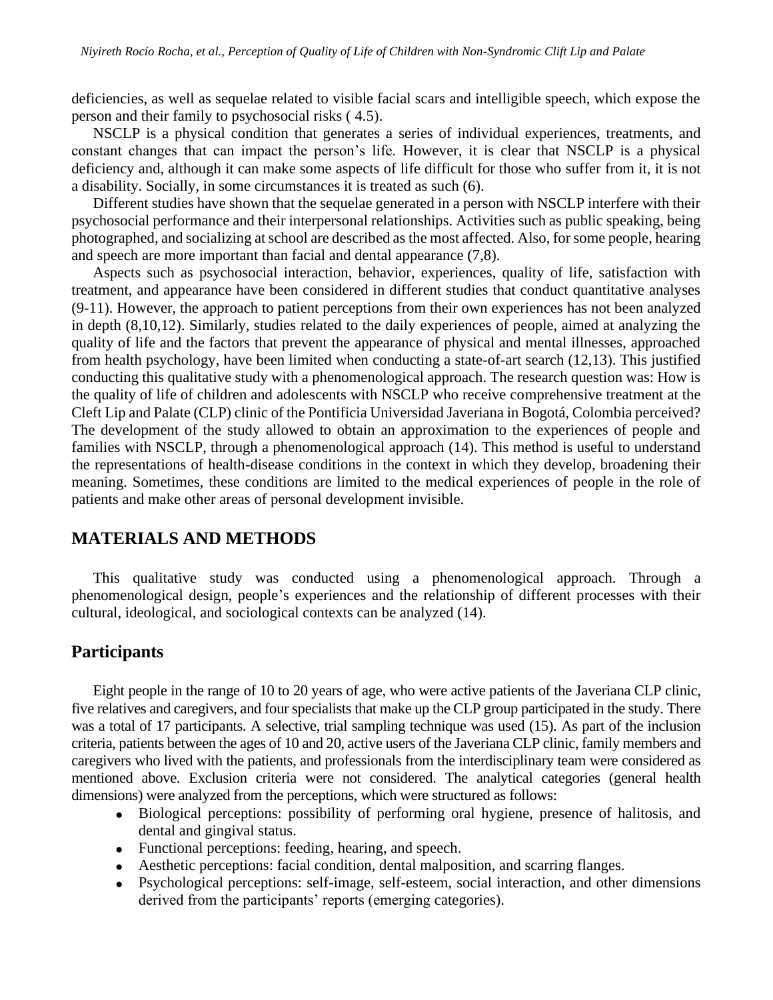deficiencies, as well as sequelae related to visible facial scars and intelligible speech, which expose the person and their family to psychosocial risks ( 4.5).

NSCLP is a physical condition that generates a series of individual experiences, treatments, and constant changes that can impact the person's life. However, it is clear that NSCLP is a physical deficiency and, although it can make some aspects of life difficult for those who suffer from it, it is not a disability. Socially, in some circumstances it is treated as such (6).

Different studies have shown that the sequelae generated in a person with NSCLP interfere with their psychosocial performance and their interpersonal relationships. Activities such as public speaking, being photographed, and socializing at school are described as the most affected. Also, for some people, hearing and speech are more important than facial and dental appearance (7,8).

Aspects such as psychosocial interaction, behavior, experiences, quality of life, satisfaction with treatment, and appearance have been considered in different studies that conduct quantitative analyses (9-11). However, the approach to patient perceptions from their own experiences has not been analyzed in depth (8,10,12). Similarly, studies related to the daily experiences of people, aimed at analyzing the quality of life and the factors that prevent the appearance of physical and mental illnesses, approached from health psychology, have been limited when conducting a state-of-art search (12,13). This justified conducting this qualitative study with a phenomenological approach. The research question was: How is the quality of life of children and adolescents with NSCLP who receive comprehensive treatment at the Cleft Lip and Palate (CLP) clinic of the Pontificia Universidad Javeriana in Bogotá, Colombia perceived? The development of the study allowed to obtain an approximation to the experiences of people and families with NSCLP, through a phenomenological approach (14). This method is useful to understand the representations of health-disease conditions in the context in which they develop, broadening their meaning. Sometimes, these conditions are limited to the medical experiences of people in the role of patients and make other areas of personal development invisible.

# **MATERIALS AND METHODS**

This qualitative study was conducted using a phenomenological approach. Through a phenomenological design, people's experiences and the relationship of different processes with their cultural, ideological, and sociological contexts can be analyzed (14).

# **Participants**

Eight people in the range of 10 to 20 years of age, who were active patients of the Javeriana CLP clinic, five relatives and caregivers, and four specialists that make up the CLP group participated in the study. There was a total of 17 participants. A selective, trial sampling technique was used (15). As part of the inclusion criteria, patients between the ages of 10 and 20, active users of the Javeriana CLP clinic, family members and caregivers who lived with the patients, and professionals from the interdisciplinary team were considered as mentioned above. Exclusion criteria were not considered. The analytical categories (general health dimensions) were analyzed from the perceptions, which were structured as follows:

- Biological perceptions: possibility of performing oral hygiene, presence of halitosis, and dental and gingival status.
- Functional perceptions: feeding, hearing, and speech.
- Aesthetic perceptions: facial condition, dental malposition, and scarring flanges.
- Psychological perceptions: self-image, self-esteem, social interaction, and other dimensions derived from the participants' reports (emerging categories).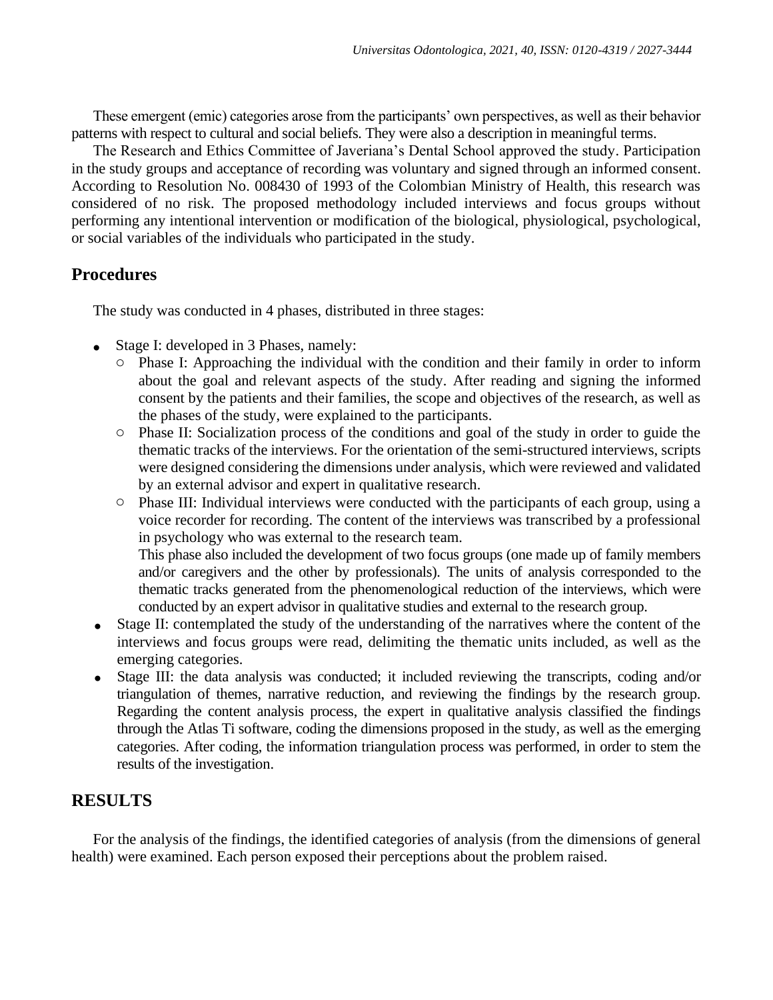These emergent (emic) categories arose from the participants' own perspectives, as well as their behavior patterns with respect to cultural and social beliefs. They were also a description in meaningful terms.

The Research and Ethics Committee of Javeriana's Dental School approved the study. Participation in the study groups and acceptance of recording was voluntary and signed through an informed consent. According to Resolution No. 008430 of 1993 of the Colombian Ministry of Health, this research was considered of no risk. The proposed methodology included interviews and focus groups without performing any intentional intervention or modification of the biological, physiological, psychological, or social variables of the individuals who participated in the study.

## **Procedures**

The study was conducted in 4 phases, distributed in three stages:

- Stage I: developed in 3 Phases, namely:
	- o Phase I: Approaching the individual with the condition and their family in order to inform about the goal and relevant aspects of the study. After reading and signing the informed consent by the patients and their families, the scope and objectives of the research, as well as the phases of the study, were explained to the participants.
	- o Phase II: Socialization process of the conditions and goal of the study in order to guide the thematic tracks of the interviews. For the orientation of the semi-structured interviews, scripts were designed considering the dimensions under analysis, which were reviewed and validated by an external advisor and expert in qualitative research.
	- o Phase III: Individual interviews were conducted with the participants of each group, using a voice recorder for recording. The content of the interviews was transcribed by a professional in psychology who was external to the research team. This phase also included the development of two focus groups (one made up of family members

and/or caregivers and the other by professionals). The units of analysis corresponded to the thematic tracks generated from the phenomenological reduction of the interviews, which were conducted by an expert advisor in qualitative studies and external to the research group.

- Stage II: contemplated the study of the understanding of the narratives where the content of the interviews and focus groups were read, delimiting the thematic units included, as well as the emerging categories.
- Stage III: the data analysis was conducted; it included reviewing the transcripts, coding and/or triangulation of themes, narrative reduction, and reviewing the findings by the research group. Regarding the content analysis process, the expert in qualitative analysis classified the findings through the Atlas Ti software, coding the dimensions proposed in the study, as well as the emerging categories. After coding, the information triangulation process was performed, in order to stem the results of the investigation.

# **RESULTS**

For the analysis of the findings, the identified categories of analysis (from the dimensions of general health) were examined. Each person exposed their perceptions about the problem raised.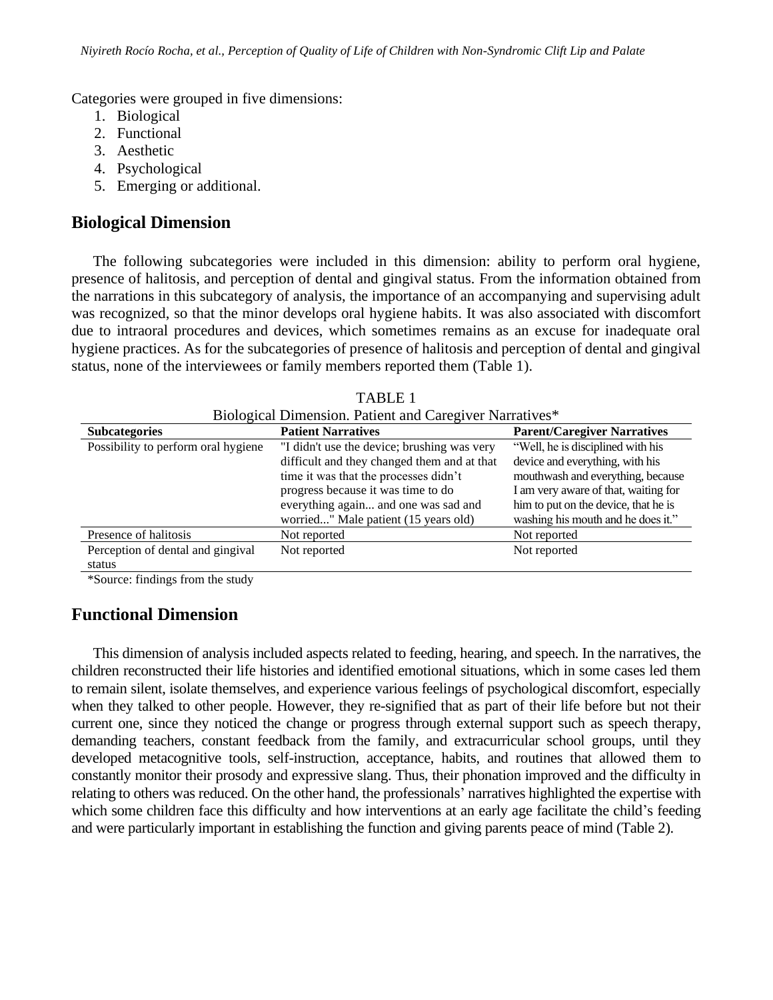Categories were grouped in five dimensions:

- 1. Biological
- 2. Functional
- 3. Aesthetic
- 4. Psychological
- 5. Emerging or additional.

#### **Biological Dimension**

The following subcategories were included in this dimension: ability to perform oral hygiene, presence of halitosis, and perception of dental and gingival status. From the information obtained from the narrations in this subcategory of analysis, the importance of an accompanying and supervising adult was recognized, so that the minor develops oral hygiene habits. It was also associated with discomfort due to intraoral procedures and devices, which sometimes remains as an excuse for inadequate oral hygiene practices. As for the subcategories of presence of halitosis and perception of dental and gingival status, none of the interviewees or family members reported them (Table 1).

| Biological Dimension. Patient and Caregiver Narratives* |                                                                                                                                                                                                                                                           |                                                                                                                                                                                                                                 |  |
|---------------------------------------------------------|-----------------------------------------------------------------------------------------------------------------------------------------------------------------------------------------------------------------------------------------------------------|---------------------------------------------------------------------------------------------------------------------------------------------------------------------------------------------------------------------------------|--|
| <b>Subcategories</b>                                    | <b>Patient Narratives</b>                                                                                                                                                                                                                                 | <b>Parent/Caregiver Narratives</b>                                                                                                                                                                                              |  |
| Possibility to perform oral hygiene                     | "I didn't use the device; brushing was very<br>difficult and they changed them and at that<br>time it was that the processes didn't<br>progress because it was time to do<br>everything again and one was sad and<br>worried" Male patient (15 years old) | "Well, he is disciplined with his<br>device and everything, with his<br>mouthwash and everything, because<br>I am very aware of that, waiting for<br>him to put on the device, that he is<br>washing his mouth and he does it." |  |
| Presence of halitosis                                   | Not reported                                                                                                                                                                                                                                              | Not reported                                                                                                                                                                                                                    |  |
| Perception of dental and gingival<br>status             | Not reported                                                                                                                                                                                                                                              | Not reported                                                                                                                                                                                                                    |  |

TABLE 1

\*Source: findings from the study

### **Functional Dimension**

This dimension of analysis included aspects related to feeding, hearing, and speech. In the narratives, the children reconstructed their life histories and identified emotional situations, which in some cases led them to remain silent, isolate themselves, and experience various feelings of psychological discomfort, especially when they talked to other people. However, they re-signified that as part of their life before but not their current one, since they noticed the change or progress through external support such as speech therapy, demanding teachers, constant feedback from the family, and extracurricular school groups, until they developed metacognitive tools, self-instruction, acceptance, habits, and routines that allowed them to constantly monitor their prosody and expressive slang. Thus, their phonation improved and the difficulty in relating to others was reduced. On the other hand, the professionals' narratives highlighted the expertise with which some children face this difficulty and how interventions at an early age facilitate the child's feeding and were particularly important in establishing the function and giving parents peace of mind (Table 2).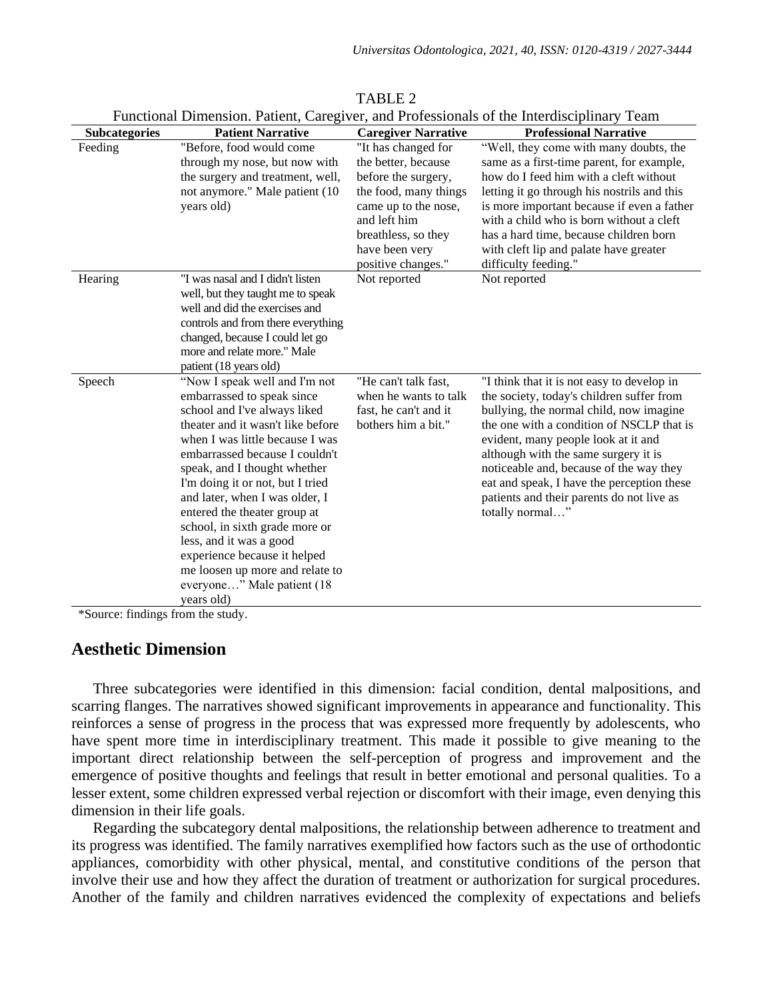| <b>Subcategories</b> | <b>Patient Narrative</b>                                                                                                                                                                                                                                                                                                                                                                                                                                                                                                | <b>Caregiver Narrative</b>                                                                                                                                                                        | r uncubilar Dhilchsion. 1 aucht, Carcgiver, and 1 rolessionals of the interdisciplinary Team<br><b>Professional Narrative</b>                                                                                                                                                                                                                                                                                           |
|----------------------|-------------------------------------------------------------------------------------------------------------------------------------------------------------------------------------------------------------------------------------------------------------------------------------------------------------------------------------------------------------------------------------------------------------------------------------------------------------------------------------------------------------------------|---------------------------------------------------------------------------------------------------------------------------------------------------------------------------------------------------|-------------------------------------------------------------------------------------------------------------------------------------------------------------------------------------------------------------------------------------------------------------------------------------------------------------------------------------------------------------------------------------------------------------------------|
| Feeding              | "Before, food would come<br>through my nose, but now with<br>the surgery and treatment, well,<br>not anymore." Male patient (10<br>years old)                                                                                                                                                                                                                                                                                                                                                                           | "It has changed for<br>the better, because<br>before the surgery,<br>the food, many things<br>came up to the nose,<br>and left him<br>breathless, so they<br>have been very<br>positive changes." | "Well, they come with many doubts, the<br>same as a first-time parent, for example,<br>how do I feed him with a cleft without<br>letting it go through his nostrils and this<br>is more important because if even a father<br>with a child who is born without a cleft<br>has a hard time, because children born<br>with cleft lip and palate have greater<br>difficulty feeding."                                      |
| Hearing              | "I was nasal and I didn't listen<br>well, but they taught me to speak<br>well and did the exercises and<br>controls and from there everything<br>changed, because I could let go<br>more and relate more." Male<br>patient (18 years old)                                                                                                                                                                                                                                                                               | Not reported                                                                                                                                                                                      | Not reported                                                                                                                                                                                                                                                                                                                                                                                                            |
| Speech               | "Now I speak well and I'm not<br>embarrassed to speak since<br>school and I've always liked<br>theater and it wasn't like before<br>when I was little because I was<br>embarrassed because I couldn't<br>speak, and I thought whether<br>I'm doing it or not, but I tried<br>and later, when I was older, I<br>entered the theater group at<br>school, in sixth grade more or<br>less, and it was a good<br>experience because it helped<br>me loosen up more and relate to<br>everyone" Male patient (18<br>years old) | "He can't talk fast,<br>when he wants to talk<br>fast, he can't and it<br>bothers him a bit."                                                                                                     | "I think that it is not easy to develop in<br>the society, today's children suffer from<br>bullying, the normal child, now imagine<br>the one with a condition of NSCLP that is<br>evident, many people look at it and<br>although with the same surgery it is<br>noticeable and, because of the way they<br>eat and speak, I have the perception these<br>patients and their parents do not live as<br>totally normal" |

TABLE 2 Functional Dimension. Patient, Caregiver, and Professionals of the Interdisciplinary Team

\*Source: findings from the study.

## **Aesthetic Dimension**

Three subcategories were identified in this dimension: facial condition, dental malpositions, and scarring flanges. The narratives showed significant improvements in appearance and functionality. This reinforces a sense of progress in the process that was expressed more frequently by adolescents, who have spent more time in interdisciplinary treatment. This made it possible to give meaning to the important direct relationship between the self-perception of progress and improvement and the emergence of positive thoughts and feelings that result in better emotional and personal qualities. To a lesser extent, some children expressed verbal rejection or discomfort with their image, even denying this dimension in their life goals.

Regarding the subcategory dental malpositions, the relationship between adherence to treatment and its progress was identified. The family narratives exemplified how factors such as the use of orthodontic appliances, comorbidity with other physical, mental, and constitutive conditions of the person that involve their use and how they affect the duration of treatment or authorization for surgical procedures. Another of the family and children narratives evidenced the complexity of expectations and beliefs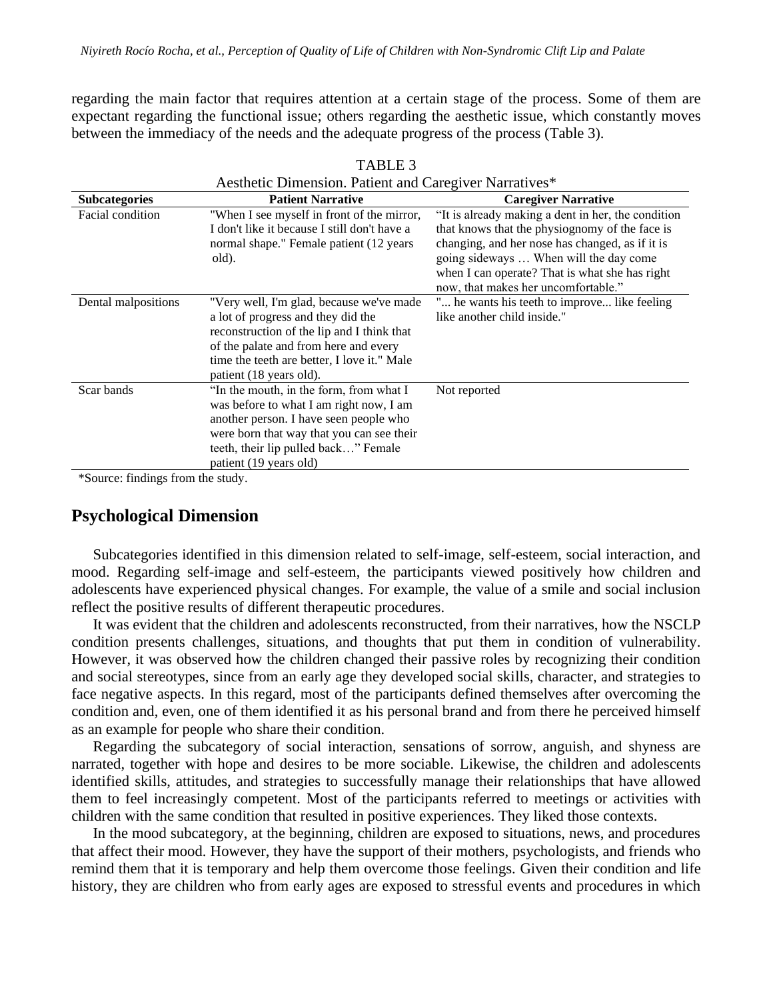regarding the main factor that requires attention at a certain stage of the process. Some of them are expectant regarding the functional issue; others regarding the aesthetic issue, which constantly moves between the immediacy of the needs and the adequate progress of the process (Table 3).

| Aesthetic Dimension. Patient and Caregiver Narratives* |                                              |                                                                                       |
|--------------------------------------------------------|----------------------------------------------|---------------------------------------------------------------------------------------|
| <b>Subcategories</b>                                   | <b>Patient Narrative</b>                     | <b>Caregiver Narrative</b>                                                            |
| Facial condition                                       | "When I see myself in front of the mirror,   | "It is already making a dent in her, the condition                                    |
|                                                        | I don't like it because I still don't have a | that knows that the physiognomy of the face is                                        |
|                                                        | normal shape." Female patient (12 years)     | changing, and her nose has changed, as if it is                                       |
|                                                        | old).                                        | going sideways  When will the day come                                                |
|                                                        |                                              | when I can operate? That is what she has right<br>now, that makes her uncomfortable." |
| Dental malpositions                                    | "Very well, I'm glad, because we've made     | " he wants his teeth to improve like feeling                                          |
|                                                        | a lot of progress and they did the           | like another child inside."                                                           |
|                                                        | reconstruction of the lip and I think that   |                                                                                       |
|                                                        | of the palate and from here and every        |                                                                                       |
|                                                        | time the teeth are better, I love it." Male  |                                                                                       |
|                                                        | patient (18 years old).                      |                                                                                       |
| Scar bands                                             | "In the mouth, in the form, from what I      | Not reported                                                                          |
|                                                        | was before to what I am right now, I am      |                                                                                       |
|                                                        | another person. I have seen people who       |                                                                                       |
|                                                        | were born that way that you can see their    |                                                                                       |
|                                                        | teeth, their lip pulled back" Female         |                                                                                       |
| $C^*$ 1.<br>$\sim$                                     | patient (19 years old)                       |                                                                                       |

| TABLE 3                                |
|----------------------------------------|
| $\mathcal{L}$ . The state $\mathbf{L}$ |

\*Source: findings from the study.

### **Psychological Dimension**

Subcategories identified in this dimension related to self-image, self-esteem, social interaction, and mood. Regarding self-image and self-esteem, the participants viewed positively how children and adolescents have experienced physical changes. For example, the value of a smile and social inclusion reflect the positive results of different therapeutic procedures.

It was evident that the children and adolescents reconstructed, from their narratives, how the NSCLP condition presents challenges, situations, and thoughts that put them in condition of vulnerability. However, it was observed how the children changed their passive roles by recognizing their condition and social stereotypes, since from an early age they developed social skills, character, and strategies to face negative aspects. In this regard, most of the participants defined themselves after overcoming the condition and, even, one of them identified it as his personal brand and from there he perceived himself as an example for people who share their condition.

Regarding the subcategory of social interaction, sensations of sorrow, anguish, and shyness are narrated, together with hope and desires to be more sociable. Likewise, the children and adolescents identified skills, attitudes, and strategies to successfully manage their relationships that have allowed them to feel increasingly competent. Most of the participants referred to meetings or activities with children with the same condition that resulted in positive experiences. They liked those contexts.

In the mood subcategory, at the beginning, children are exposed to situations, news, and procedures that affect their mood. However, they have the support of their mothers, psychologists, and friends who remind them that it is temporary and help them overcome those feelings. Given their condition and life history, they are children who from early ages are exposed to stressful events and procedures in which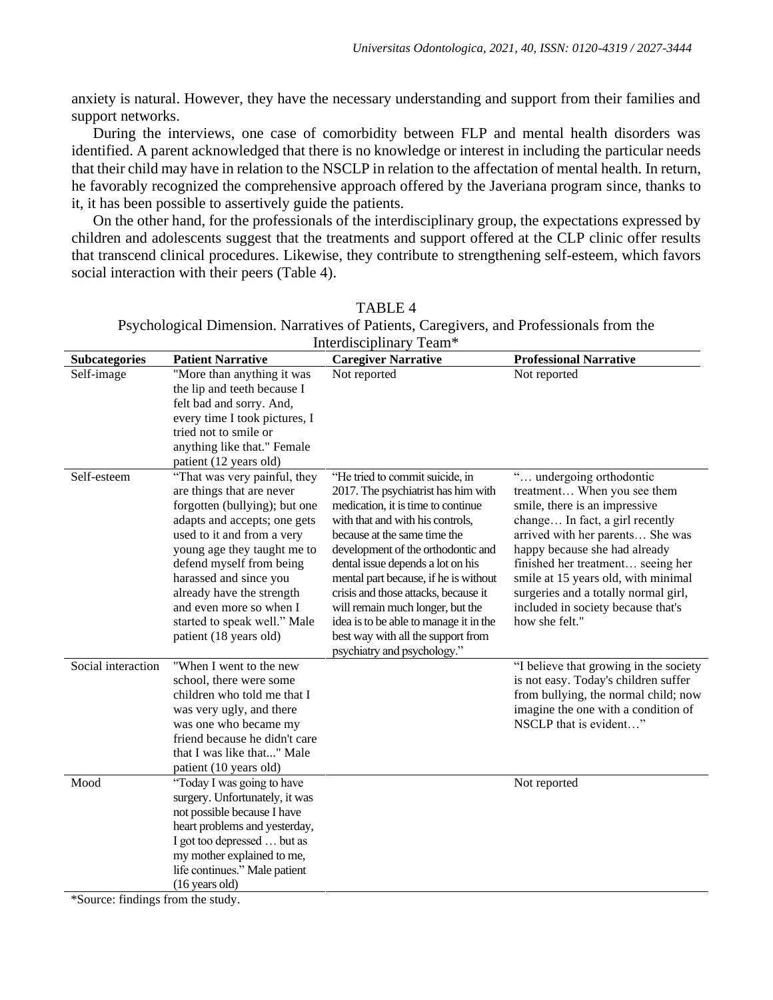anxiety is natural. However, they have the necessary understanding and support from their families and support networks.

During the interviews, one case of comorbidity between FLP and mental health disorders was identified. A parent acknowledged that there is no knowledge or interest in including the particular needs that their child may have in relation to the NSCLP in relation to the affectation of mental health. In return, he favorably recognized the comprehensive approach offered by the Javeriana program since, thanks to it, it has been possible to assertively guide the patients.

On the other hand, for the professionals of the interdisciplinary group, the expectations expressed by children and adolescents suggest that the treatments and support offered at the CLP clinic offer results that transcend clinical procedures. Likewise, they contribute to strengthening self-esteem, which favors social interaction with their peers (Table 4).

| Interdisciplinary Team* |                                |                                                                   |                                                      |
|-------------------------|--------------------------------|-------------------------------------------------------------------|------------------------------------------------------|
| <b>Subcategories</b>    | <b>Patient Narrative</b>       | <b>Caregiver Narrative</b>                                        | <b>Professional Narrative</b>                        |
| Self-image              | "More than anything it was     | Not reported                                                      | Not reported                                         |
|                         | the lip and teeth because I    |                                                                   |                                                      |
|                         | felt bad and sorry. And,       |                                                                   |                                                      |
|                         | every time I took pictures, I  |                                                                   |                                                      |
|                         | tried not to smile or          |                                                                   |                                                      |
|                         | anything like that." Female    |                                                                   |                                                      |
|                         | patient (12 years old)         |                                                                   |                                                      |
| Self-esteem             | "That was very painful, they   | "He tried to commit suicide, in                                   | " undergoing orthodontic                             |
|                         | are things that are never      | 2017. The psychiatrist has him with                               | treatment When you see them                          |
|                         | forgotten (bullying); but one  | medication, it is time to continue                                | smile, there is an impressive                        |
|                         | adapts and accepts; one gets   | with that and with his controls,                                  | change In fact, a girl recently                      |
|                         | used to it and from a very     | because at the same time the                                      | arrived with her parents She was                     |
|                         | young age they taught me to    | development of the orthodontic and                                | happy because she had already                        |
|                         | defend myself from being       | dental issue depends a lot on his                                 | finished her treatment seeing her                    |
|                         | harassed and since you         | mental part because, if he is without                             | smile at 15 years old, with minimal                  |
|                         | already have the strength      | crisis and those attacks, because it                              | surgeries and a totally normal girl,                 |
|                         | and even more so when I        | will remain much longer, but the                                  | included in society because that's<br>how she felt." |
|                         | started to speak well." Male   | idea is to be able to manage it in the                            |                                                      |
|                         | patient (18 years old)         | best way with all the support from<br>psychiatry and psychology." |                                                      |
| Social interaction      | "When I went to the new        |                                                                   | "I believe that growing in the society               |
|                         | school, there were some        |                                                                   | is not easy. Today's children suffer                 |
|                         | children who told me that I    |                                                                   | from bullying, the normal child; now                 |
|                         | was very ugly, and there       |                                                                   | imagine the one with a condition of                  |
|                         | was one who became my          |                                                                   | NSCLP that is evident"                               |
|                         | friend because he didn't care  |                                                                   |                                                      |
|                         | that I was like that" Male     |                                                                   |                                                      |
|                         | patient (10 years old)         |                                                                   |                                                      |
| Mood                    | "Today I was going to have     |                                                                   | Not reported                                         |
|                         | surgery. Unfortunately, it was |                                                                   |                                                      |
|                         | not possible because I have    |                                                                   |                                                      |
|                         | heart problems and yesterday,  |                                                                   |                                                      |
|                         | I got too depressed  but as    |                                                                   |                                                      |
|                         | my mother explained to me,     |                                                                   |                                                      |
|                         | life continues." Male patient  |                                                                   |                                                      |
|                         | $(16 \text{ years old})$       |                                                                   |                                                      |

TABLE 4 Psychological Dimension. Narratives of Patients, Caregivers, and Professionals from the

\*Source: findings from the study.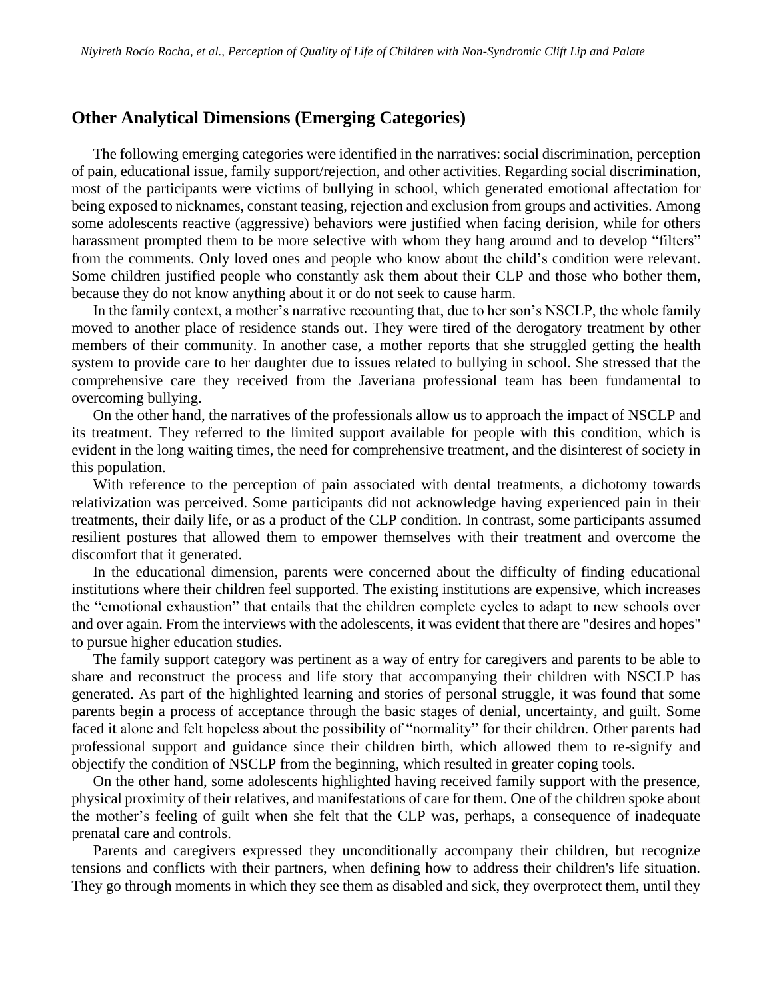## **Other Analytical Dimensions (Emerging Categories)**

The following emerging categories were identified in the narratives: social discrimination, perception of pain, educational issue, family support/rejection, and other activities. Regarding social discrimination, most of the participants were victims of bullying in school, which generated emotional affectation for being exposed to nicknames, constant teasing, rejection and exclusion from groups and activities. Among some adolescents reactive (aggressive) behaviors were justified when facing derision, while for others harassment prompted them to be more selective with whom they hang around and to develop "filters" from the comments. Only loved ones and people who know about the child's condition were relevant. Some children justified people who constantly ask them about their CLP and those who bother them, because they do not know anything about it or do not seek to cause harm.

In the family context, a mother's narrative recounting that, due to her son's NSCLP, the whole family moved to another place of residence stands out. They were tired of the derogatory treatment by other members of their community. In another case, a mother reports that she struggled getting the health system to provide care to her daughter due to issues related to bullying in school. She stressed that the comprehensive care they received from the Javeriana professional team has been fundamental to overcoming bullying.

On the other hand, the narratives of the professionals allow us to approach the impact of NSCLP and its treatment. They referred to the limited support available for people with this condition, which is evident in the long waiting times, the need for comprehensive treatment, and the disinterest of society in this population.

With reference to the perception of pain associated with dental treatments, a dichotomy towards relativization was perceived. Some participants did not acknowledge having experienced pain in their treatments, their daily life, or as a product of the CLP condition. In contrast, some participants assumed resilient postures that allowed them to empower themselves with their treatment and overcome the discomfort that it generated.

In the educational dimension, parents were concerned about the difficulty of finding educational institutions where their children feel supported. The existing institutions are expensive, which increases the "emotional exhaustion" that entails that the children complete cycles to adapt to new schools over and over again. From the interviews with the adolescents, it was evident that there are "desires and hopes" to pursue higher education studies.

The family support category was pertinent as a way of entry for caregivers and parents to be able to share and reconstruct the process and life story that accompanying their children with NSCLP has generated. As part of the highlighted learning and stories of personal struggle, it was found that some parents begin a process of acceptance through the basic stages of denial, uncertainty, and guilt. Some faced it alone and felt hopeless about the possibility of "normality" for their children. Other parents had professional support and guidance since their children birth, which allowed them to re-signify and objectify the condition of NSCLP from the beginning, which resulted in greater coping tools.

On the other hand, some adolescents highlighted having received family support with the presence, physical proximity of their relatives, and manifestations of care for them. One of the children spoke about the mother's feeling of guilt when she felt that the CLP was, perhaps, a consequence of inadequate prenatal care and controls.

Parents and caregivers expressed they unconditionally accompany their children, but recognize tensions and conflicts with their partners, when defining how to address their children's life situation. They go through moments in which they see them as disabled and sick, they overprotect them, until they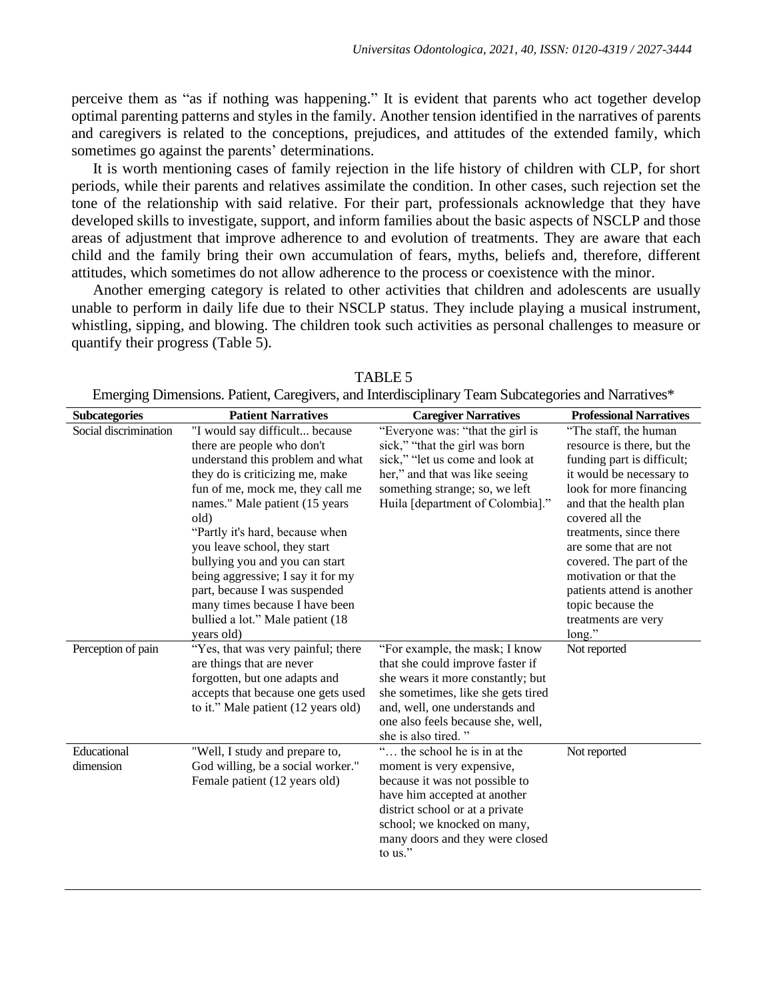perceive them as "as if nothing was happening." It is evident that parents who act together develop optimal parenting patterns and styles in the family. Another tension identified in the narratives of parents and caregivers is related to the conceptions, prejudices, and attitudes of the extended family, which sometimes go against the parents' determinations.

It is worth mentioning cases of family rejection in the life history of children with CLP, for short periods, while their parents and relatives assimilate the condition. In other cases, such rejection set the tone of the relationship with said relative. For their part, professionals acknowledge that they have developed skills to investigate, support, and inform families about the basic aspects of NSCLP and those areas of adjustment that improve adherence to and evolution of treatments. They are aware that each child and the family bring their own accumulation of fears, myths, beliefs and, therefore, different attitudes, which sometimes do not allow adherence to the process or coexistence with the minor.

Another emerging category is related to other activities that children and adolescents are usually unable to perform in daily life due to their NSCLP status. They include playing a musical instrument, whistling, sipping, and blowing. The children took such activities as personal challenges to measure or quantify their progress (Table 5).

| <b>Subcategories</b>     | <b>Patient Narratives</b>                                                                                                                                                                                                                                                                                                                                                                                                                                                         | <b>Caregiver Narratives</b>                                                                                                                                                                                                                 | <b>Professional Narratives</b>                                                                                                                                                                                                                                                                                                                                                        |
|--------------------------|-----------------------------------------------------------------------------------------------------------------------------------------------------------------------------------------------------------------------------------------------------------------------------------------------------------------------------------------------------------------------------------------------------------------------------------------------------------------------------------|---------------------------------------------------------------------------------------------------------------------------------------------------------------------------------------------------------------------------------------------|---------------------------------------------------------------------------------------------------------------------------------------------------------------------------------------------------------------------------------------------------------------------------------------------------------------------------------------------------------------------------------------|
| Social discrimination    | "I would say difficult because<br>there are people who don't<br>understand this problem and what<br>they do is criticizing me, make<br>fun of me, mock me, they call me<br>names." Male patient (15 years)<br>old)<br>"Partly it's hard, because when<br>you leave school, they start<br>bullying you and you can start<br>being aggressive; I say it for my<br>part, because I was suspended<br>many times because I have been<br>bullied a lot." Male patient (18<br>years old) | "Everyone was: "that the girl is<br>sick," "that the girl was born<br>sick," "let us come and look at<br>her," and that was like seeing<br>something strange; so, we left<br>Huila [department of Colombia]."                               | "The staff, the human<br>resource is there, but the<br>funding part is difficult;<br>it would be necessary to<br>look for more financing<br>and that the health plan<br>covered all the<br>treatments, since there<br>are some that are not<br>covered. The part of the<br>motivation or that the<br>patients attend is another<br>topic because the<br>treatments are very<br>long." |
| Perception of pain       | "Yes, that was very painful; there<br>are things that are never<br>forgotten, but one adapts and<br>accepts that because one gets used<br>to it." Male patient (12 years old)                                                                                                                                                                                                                                                                                                     | "For example, the mask; I know<br>that she could improve faster if<br>she wears it more constantly; but<br>she sometimes, like she gets tired<br>and, well, one understands and<br>one also feels because she, well,<br>she is also tired." | Not reported                                                                                                                                                                                                                                                                                                                                                                          |
| Educational<br>dimension | "Well, I study and prepare to,<br>God willing, be a social worker."<br>Female patient (12 years old)                                                                                                                                                                                                                                                                                                                                                                              | " the school he is in at the<br>moment is very expensive,<br>because it was not possible to<br>have him accepted at another<br>district school or at a private<br>school; we knocked on many,<br>many doors and they were closed<br>to us." | Not reported                                                                                                                                                                                                                                                                                                                                                                          |

TABLE 5

Emerging Dimensions. Patient, Caregivers, and Interdisciplinary Team Subcategories and Narratives\*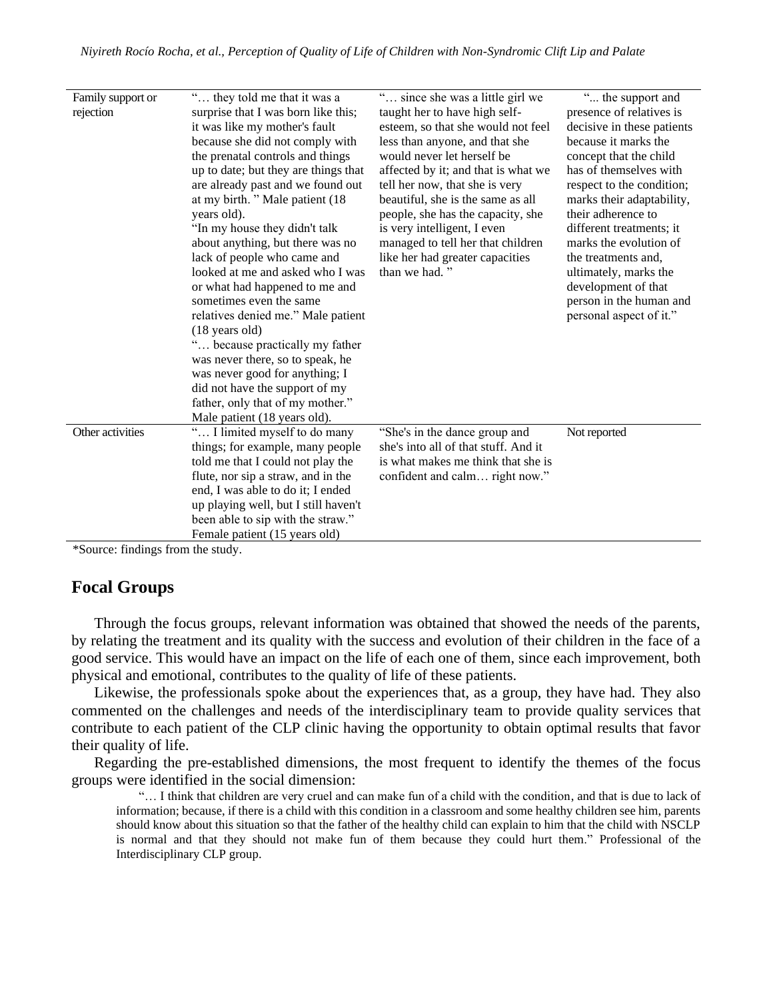| Family support or<br>rejection | " they told me that it was a<br>surprise that I was born like this;<br>it was like my mother's fault<br>because she did not comply with<br>the prenatal controls and things<br>up to date; but they are things that<br>are already past and we found out<br>at my birth. " Male patient (18)<br>years old).<br>"In my house they didn't talk<br>about anything, but there was no<br>lack of people who came and<br>looked at me and asked who I was<br>or what had happened to me and<br>sometimes even the same<br>relatives denied me." Male patient<br>$(18$ years old)<br>" because practically my father<br>was never there, so to speak, he<br>was never good for anything; I<br>did not have the support of my<br>father, only that of my mother."<br>Male patient (18 years old). | " since she was a little girl we<br>taught her to have high self-<br>esteem, so that she would not feel<br>less than anyone, and that she<br>would never let herself be<br>affected by it; and that is what we<br>tell her now, that she is very<br>beautiful, she is the same as all<br>people, she has the capacity, she<br>is very intelligent, I even<br>managed to tell her that children<br>like her had greater capacities<br>than we had." | " the support and<br>presence of relatives is<br>decisive in these patients<br>because it marks the<br>concept that the child<br>has of themselves with<br>respect to the condition;<br>marks their adaptability,<br>their adherence to<br>different treatments; it<br>marks the evolution of<br>the treatments and,<br>ultimately, marks the<br>development of that<br>person in the human and<br>personal aspect of it." |
|--------------------------------|-------------------------------------------------------------------------------------------------------------------------------------------------------------------------------------------------------------------------------------------------------------------------------------------------------------------------------------------------------------------------------------------------------------------------------------------------------------------------------------------------------------------------------------------------------------------------------------------------------------------------------------------------------------------------------------------------------------------------------------------------------------------------------------------|----------------------------------------------------------------------------------------------------------------------------------------------------------------------------------------------------------------------------------------------------------------------------------------------------------------------------------------------------------------------------------------------------------------------------------------------------|----------------------------------------------------------------------------------------------------------------------------------------------------------------------------------------------------------------------------------------------------------------------------------------------------------------------------------------------------------------------------------------------------------------------------|
| Other activities               | " I limited myself to do many<br>things; for example, many people<br>told me that I could not play the<br>flute, nor sip a straw, and in the<br>end, I was able to do it; I ended<br>up playing well, but I still haven't<br>been able to sip with the straw."<br>Female patient (15 years old)                                                                                                                                                                                                                                                                                                                                                                                                                                                                                           | "She's in the dance group and<br>she's into all of that stuff. And it<br>is what makes me think that she is<br>confident and calm right now."                                                                                                                                                                                                                                                                                                      | Not reported                                                                                                                                                                                                                                                                                                                                                                                                               |

\*Source: findings from the study.

#### **Focal Groups**

Through the focus groups, relevant information was obtained that showed the needs of the parents, by relating the treatment and its quality with the success and evolution of their children in the face of a good service. This would have an impact on the life of each one of them, since each improvement, both physical and emotional, contributes to the quality of life of these patients.

Likewise, the professionals spoke about the experiences that, as a group, they have had. They also commented on the challenges and needs of the interdisciplinary team to provide quality services that contribute to each patient of the CLP clinic having the opportunity to obtain optimal results that favor their quality of life.

Regarding the pre-established dimensions, the most frequent to identify the themes of the focus groups were identified in the social dimension:

"… I think that children are very cruel and can make fun of a child with the condition, and that is due to lack of information; because, if there is a child with this condition in a classroom and some healthy children see him, parents should know about this situation so that the father of the healthy child can explain to him that the child with NSCLP is normal and that they should not make fun of them because they could hurt them." Professional of the Interdisciplinary CLP group.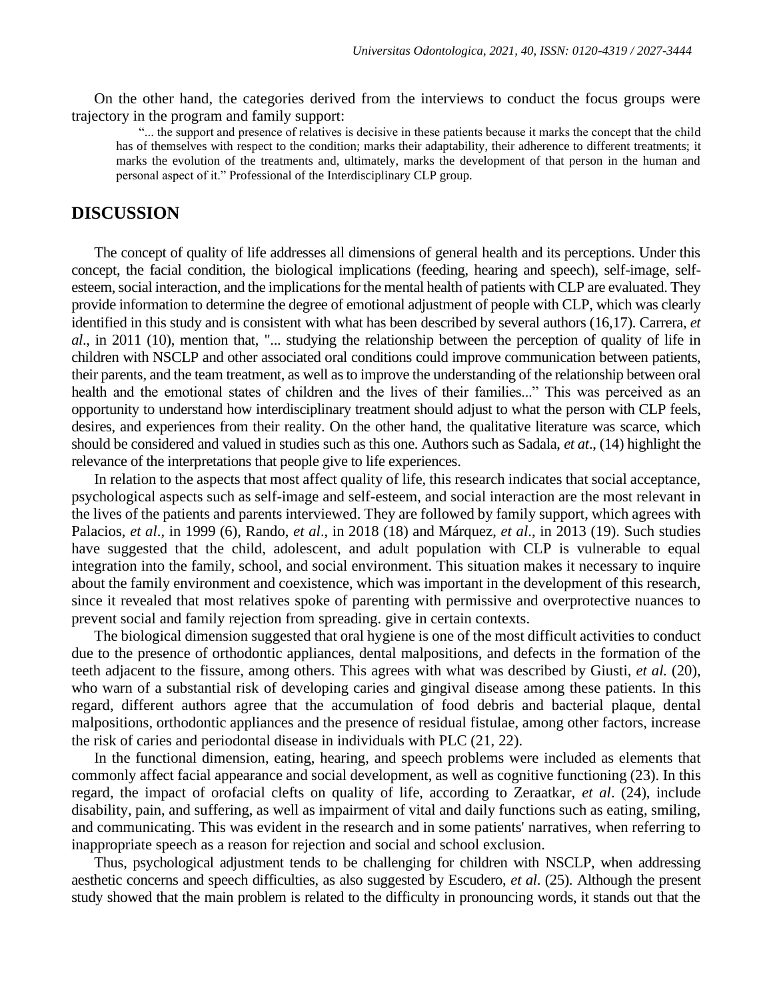On the other hand, the categories derived from the interviews to conduct the focus groups were trajectory in the program and family support:

"... the support and presence of relatives is decisive in these patients because it marks the concept that the child has of themselves with respect to the condition; marks their adaptability, their adherence to different treatments; it marks the evolution of the treatments and, ultimately, marks the development of that person in the human and personal aspect of it." Professional of the Interdisciplinary CLP group.

#### **DISCUSSION**

The concept of quality of life addresses all dimensions of general health and its perceptions. Under this concept, the facial condition, the biological implications (feeding, hearing and speech), self-image, selfesteem, social interaction, and the implications for the mental health of patients with CLP are evaluated. They provide information to determine the degree of emotional adjustment of people with CLP, which was clearly identified in this study and is consistent with what has been described by several authors (16,17). Carrera, *et al*., in 2011 (10), mention that, "... studying the relationship between the perception of quality of life in children with NSCLP and other associated oral conditions could improve communication between patients, their parents, and the team treatment, as well as to improve the understanding of the relationship between oral health and the emotional states of children and the lives of their families..." This was perceived as an opportunity to understand how interdisciplinary treatment should adjust to what the person with CLP feels, desires, and experiences from their reality. On the other hand, the qualitative literature was scarce, which should be considered and valued in studies such as this one. Authors such as Sadala, *et at*., (14) highlight the relevance of the interpretations that people give to life experiences.

In relation to the aspects that most affect quality of life, this research indicates that social acceptance, psychological aspects such as self-image and self-esteem, and social interaction are the most relevant in the lives of the patients and parents interviewed. They are followed by family support, which agrees with Palacios, *et al*., in 1999 (6), Rando, *et al*., in 2018 (18) and Márquez, *et al*., in 2013 (19). Such studies have suggested that the child, adolescent, and adult population with CLP is vulnerable to equal integration into the family, school, and social environment. This situation makes it necessary to inquire about the family environment and coexistence, which was important in the development of this research, since it revealed that most relatives spoke of parenting with permissive and overprotective nuances to prevent social and family rejection from spreading. give in certain contexts.

The biological dimension suggested that oral hygiene is one of the most difficult activities to conduct due to the presence of orthodontic appliances, dental malpositions, and defects in the formation of the teeth adjacent to the fissure, among others. This agrees with what was described by Giusti, *et al.* (20), who warn of a substantial risk of developing caries and gingival disease among these patients. In this regard, different authors agree that the accumulation of food debris and bacterial plaque, dental malpositions, orthodontic appliances and the presence of residual fistulae, among other factors, increase the risk of caries and periodontal disease in individuals with PLC (21, 22).

In the functional dimension, eating, hearing, and speech problems were included as elements that commonly affect facial appearance and social development, as well as cognitive functioning (23). In this regard, the impact of orofacial clefts on quality of life, according to Zeraatkar, *et al*. (24), include disability, pain, and suffering, as well as impairment of vital and daily functions such as eating, smiling, and communicating. This was evident in the research and in some patients' narratives, when referring to inappropriate speech as a reason for rejection and social and school exclusion.

Thus, psychological adjustment tends to be challenging for children with NSCLP, when addressing aesthetic concerns and speech difficulties, as also suggested by Escudero, *et al*. (25). Although the present study showed that the main problem is related to the difficulty in pronouncing words, it stands out that the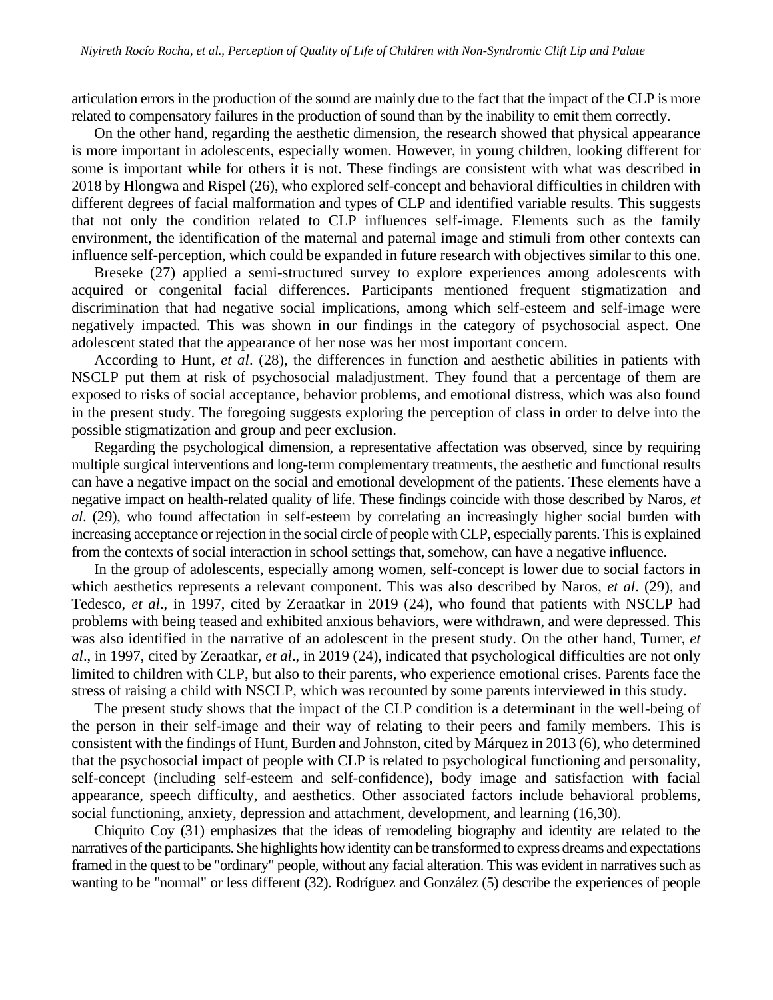articulation errors in the production of the sound are mainly due to the fact that the impact of the CLP is more related to compensatory failures in the production of sound than by the inability to emit them correctly.

On the other hand, regarding the aesthetic dimension, the research showed that physical appearance is more important in adolescents, especially women. However, in young children, looking different for some is important while for others it is not. These findings are consistent with what was described in 2018 by Hlongwa and Rispel (26), who explored self-concept and behavioral difficulties in children with different degrees of facial malformation and types of CLP and identified variable results. This suggests that not only the condition related to CLP influences self-image. Elements such as the family environment, the identification of the maternal and paternal image and stimuli from other contexts can influence self-perception, which could be expanded in future research with objectives similar to this one.

Breseke (27) applied a semi-structured survey to explore experiences among adolescents with acquired or congenital facial differences. Participants mentioned frequent stigmatization and discrimination that had negative social implications, among which self-esteem and self-image were negatively impacted. This was shown in our findings in the category of psychosocial aspect. One adolescent stated that the appearance of her nose was her most important concern.

According to Hunt, *et al*. (28), the differences in function and aesthetic abilities in patients with NSCLP put them at risk of psychosocial maladjustment. They found that a percentage of them are exposed to risks of social acceptance, behavior problems, and emotional distress, which was also found in the present study. The foregoing suggests exploring the perception of class in order to delve into the possible stigmatization and group and peer exclusion.

Regarding the psychological dimension, a representative affectation was observed, since by requiring multiple surgical interventions and long-term complementary treatments, the aesthetic and functional results can have a negative impact on the social and emotional development of the patients. These elements have a negative impact on health-related quality of life. These findings coincide with those described by Naros, *et al*. (29), who found affectation in self-esteem by correlating an increasingly higher social burden with increasing acceptance or rejection in the social circle of people with CLP, especially parents. This is explained from the contexts of social interaction in school settings that, somehow, can have a negative influence.

In the group of adolescents, especially among women, self-concept is lower due to social factors in which aesthetics represents a relevant component. This was also described by Naros, *et al*. (29), and Tedesco, *et al*., in 1997, cited by Zeraatkar in 2019 (24), who found that patients with NSCLP had problems with being teased and exhibited anxious behaviors, were withdrawn, and were depressed. This was also identified in the narrative of an adolescent in the present study. On the other hand, Turner, *et al*., in 1997, cited by Zeraatkar, *et al*., in 2019 (24), indicated that psychological difficulties are not only limited to children with CLP, but also to their parents, who experience emotional crises. Parents face the stress of raising a child with NSCLP, which was recounted by some parents interviewed in this study.

The present study shows that the impact of the CLP condition is a determinant in the well-being of the person in their self-image and their way of relating to their peers and family members. This is consistent with the findings of Hunt, Burden and Johnston, cited by Márquez in 2013 (6), who determined that the psychosocial impact of people with CLP is related to psychological functioning and personality, self-concept (including self-esteem and self-confidence), body image and satisfaction with facial appearance, speech difficulty, and aesthetics. Other associated factors include behavioral problems, social functioning, anxiety, depression and attachment, development, and learning (16,30).

Chiquito Coy (31) emphasizes that the ideas of remodeling biography and identity are related to the narratives of the participants. She highlights how identity can be transformed to express dreams and expectations framed in the quest to be "ordinary" people, without any facial alteration. This was evident in narratives such as wanting to be "normal" or less different (32). Rodríguez and González (5) describe the experiences of people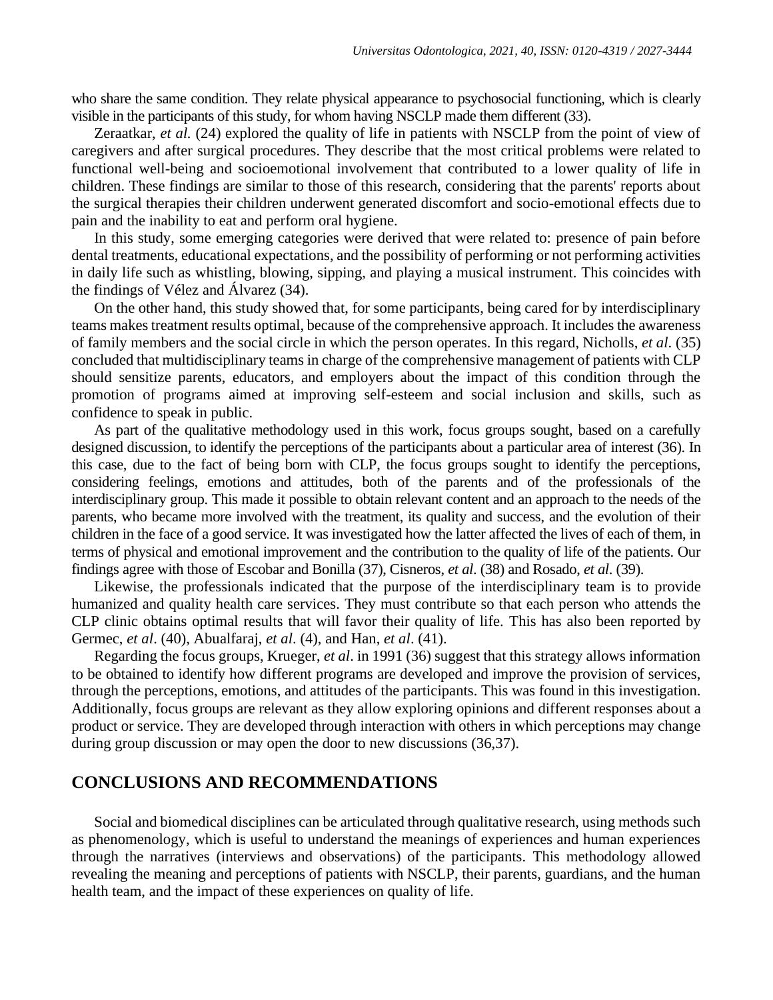who share the same condition. They relate physical appearance to psychosocial functioning, which is clearly visible in the participants of this study, for whom having NSCLP made them different (33).

Zeraatkar, *et al.* (24) explored the quality of life in patients with NSCLP from the point of view of caregivers and after surgical procedures. They describe that the most critical problems were related to functional well-being and socioemotional involvement that contributed to a lower quality of life in children. These findings are similar to those of this research, considering that the parents' reports about the surgical therapies their children underwent generated discomfort and socio-emotional effects due to pain and the inability to eat and perform oral hygiene.

In this study, some emerging categories were derived that were related to: presence of pain before dental treatments, educational expectations, and the possibility of performing or not performing activities in daily life such as whistling, blowing, sipping, and playing a musical instrument. This coincides with the findings of Vélez and Álvarez (34).

On the other hand, this study showed that, for some participants, being cared for by interdisciplinary teams makes treatment results optimal, because of the comprehensive approach. It includes the awareness of family members and the social circle in which the person operates. In this regard, Nicholls, *et al*. (35) concluded that multidisciplinary teams in charge of the comprehensive management of patients with CLP should sensitize parents, educators, and employers about the impact of this condition through the promotion of programs aimed at improving self-esteem and social inclusion and skills, such as confidence to speak in public.

As part of the qualitative methodology used in this work, focus groups sought, based on a carefully designed discussion, to identify the perceptions of the participants about a particular area of interest (36). In this case, due to the fact of being born with CLP, the focus groups sought to identify the perceptions, considering feelings, emotions and attitudes, both of the parents and of the professionals of the interdisciplinary group. This made it possible to obtain relevant content and an approach to the needs of the parents, who became more involved with the treatment, its quality and success, and the evolution of their children in the face of a good service. It was investigated how the latter affected the lives of each of them, in terms of physical and emotional improvement and the contribution to the quality of life of the patients. Our findings agree with those of Escobar and Bonilla (37), Cisneros, *et al*. (38) and Rosado, *et al*. (39).

Likewise, the professionals indicated that the purpose of the interdisciplinary team is to provide humanized and quality health care services. They must contribute so that each person who attends the CLP clinic obtains optimal results that will favor their quality of life. This has also been reported by Germec, *et al*. (40), Abualfaraj, *et al*. (4), and Han, *et al*. (41).

Regarding the focus groups, Krueger, *et al*. in 1991 (36) suggest that this strategy allows information to be obtained to identify how different programs are developed and improve the provision of services, through the perceptions, emotions, and attitudes of the participants. This was found in this investigation. Additionally, focus groups are relevant as they allow exploring opinions and different responses about a product or service. They are developed through interaction with others in which perceptions may change during group discussion or may open the door to new discussions (36,37).

#### **CONCLUSIONS AND RECOMMENDATIONS**

Social and biomedical disciplines can be articulated through qualitative research, using methods such as phenomenology, which is useful to understand the meanings of experiences and human experiences through the narratives (interviews and observations) of the participants. This methodology allowed revealing the meaning and perceptions of patients with NSCLP, their parents, guardians, and the human health team, and the impact of these experiences on quality of life.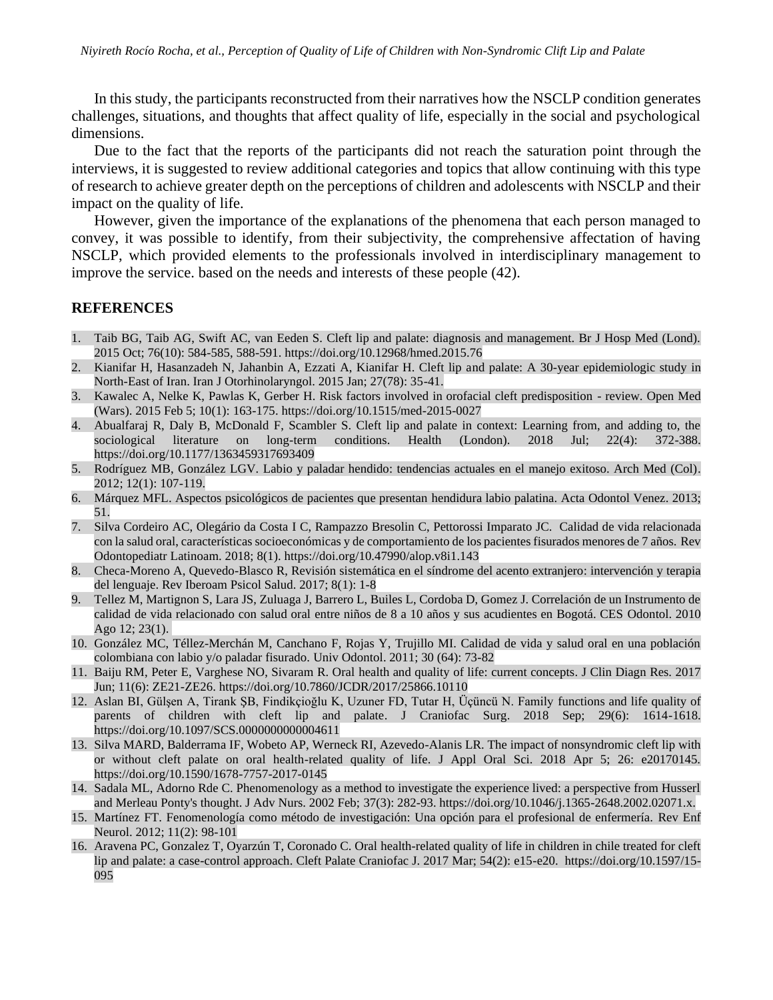In this study, the participants reconstructed from their narratives how the NSCLP condition generates challenges, situations, and thoughts that affect quality of life, especially in the social and psychological dimensions.

Due to the fact that the reports of the participants did not reach the saturation point through the interviews, it is suggested to review additional categories and topics that allow continuing with this type of research to achieve greater depth on the perceptions of children and adolescents with NSCLP and their impact on the quality of life.

However, given the importance of the explanations of the phenomena that each person managed to convey, it was possible to identify, from their subjectivity, the comprehensive affectation of having NSCLP, which provided elements to the professionals involved in interdisciplinary management to improve the service. based on the needs and interests of these people (42).

#### **REFERENCES**

- 1. Taib BG, Taib AG, Swift AC, van Eeden S. Cleft lip and palate: diagnosis and management. Br J Hosp Med (Lond). 2015 Oct; 76(10): 584-585, 588-591. https://doi.org/10.12968/hmed.2015.76
- 2. Kianifar H, Hasanzadeh N, Jahanbin A, Ezzati A, Kianifar H. Cleft lip and palate: A 30-year epidemiologic study in North-East of Iran. Iran J Otorhinolaryngol. 2015 Jan; 27(78): 35-41.
- 3. Kawalec A, Nelke K, Pawlas K, Gerber H. Risk factors involved in orofacial cleft predisposition review. Open Med (Wars). 2015 Feb 5; 10(1): 163-175.<https://doi.org/10.1515/med-2015-0027>
- 4. Abualfaraj R, Daly B, McDonald F, Scambler S. Cleft lip and palate in context: Learning from, and adding to, the sociological literature on long-term conditions. Health (London). 2018 Jul; 22(4): 372-388. https://doi.org/10.1177/1363459317693409
- 5. Rodríguez MB, González LGV. Labio y paladar hendido: tendencias actuales en el manejo exitoso. Arch Med (Col). 2012; 12(1): 107-119.
- 6. Márquez MFL. Aspectos psicológicos de pacientes que presentan hendidura labio palatina. Acta Odontol Venez. 2013; 51.
- 7. Silva Cordeiro AC, Olegário da Costa I C, Rampazzo Bresolin C, Pettorossi Imparato JC. Calidad de vida relacionada con la salud oral, características socioeconómicas y de comportamiento de los pacientes fisurados menores de 7 años. Rev Odontopediatr Latinoam. 2018; 8(1).<https://doi.org/10.47990/alop.v8i1.143>
- 8. Checa-Moreno A, Quevedo-Blasco R, Revisión sistemática en el síndrome del acento extranjero: intervención y terapia del lenguaje. Rev Iberoam Psicol Salud. 2017; 8(1): 1-8
- 9. Tellez M, Martignon S, Lara JS, Zuluaga J, Barrero L, Builes L, Cordoba D, Gomez J. Correlación de un Instrumento de calidad de vida relacionado con salud oral entre niños de 8 a 10 años y sus acudientes en Bogotá. CES Odontol. 2010 Ago 12; 23(1).
- 10. González MC, Téllez-Merchán M, Canchano F, Rojas Y, Trujillo MI. Calidad de vida y salud oral en una población colombiana con labio y/o paladar fisurado. Univ Odontol. 2011; 30 (64): 73-82
- 11. Baiju RM, Peter E, Varghese NO, Sivaram R. Oral health and quality of life: current concepts. J Clin Diagn Res. 2017 Jun; 11(6): ZE21-ZE26[. https://doi.org/10.7860/JCDR/2017/25866.10110](https://doi.org/10.7860/JCDR/2017/25866.10110)
- 12. Aslan BI, Gülşen A, Tirank ŞB, Findikçioğlu K, Uzuner FD, Tutar H, Üçüncü N. Family functions and life quality of parents of children with cleft lip and palate. J Craniofac Surg. 2018 Sep; 29(6): 1614-1618. https://doi.org/10.1097/SCS.00000000000004611
- 13. Silva MARD, Balderrama IF, Wobeto AP, Werneck RI, Azevedo-Alanis LR. The impact of nonsyndromic cleft lip with or without cleft palate on oral health-related quality of life. J Appl Oral Sci. 2018 Apr 5; 26: e20170145. <https://doi.org/10.1590/1678-7757-2017-0145>
- 14. Sadala ML, Adorno Rde C. Phenomenology as a method to investigate the experience lived: a perspective from Husserl and Merleau Ponty's thought. J Adv Nurs. 2002 Feb; 37(3): 282-93.<https://doi.org/10.1046/j.1365-2648.2002.02071.x.>
- 15. Martínez FT. Fenomenología como método de investigación: Una opción para el profesional de enfermería. Rev Enf Neurol. 2012; 11(2): 98-101
- 16. Aravena PC, Gonzalez T, Oyarzún T, Coronado C. Oral health-related quality of life in children in chile treated for cleft lip and palate: a case-control approach. Cleft Palate Craniofac J. 2017 Mar; 54(2): e15-e20. [https://doi.org/10.1597/15-](https://doi.org/10.1597/15-095) [095](https://doi.org/10.1597/15-095)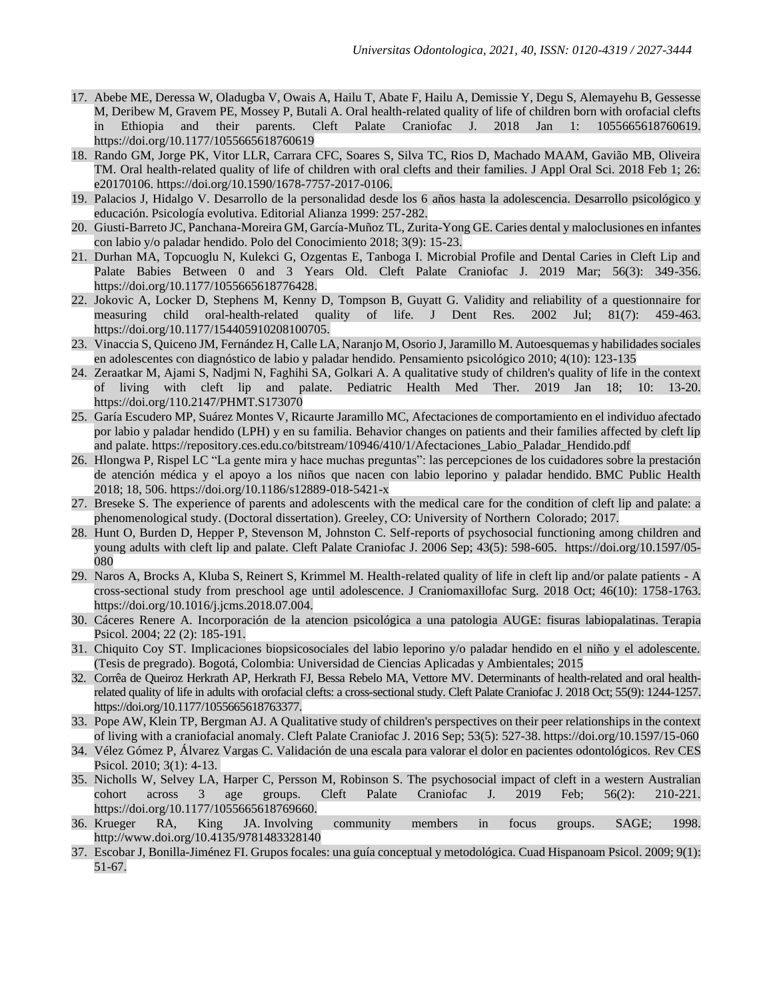- 17. Abebe ME, Deressa W, Oladugba V, Owais A, Hailu T, Abate F, Hailu A, Demissie Y, Degu S, Alemayehu B, Gessesse M, Deribew M, Gravem PE, Mossey P, Butali A. Oral health-related quality of life of children born with orofacial clefts in Ethiopia and their parents. Cleft Palate Craniofac J. 2018 Jan 1: 1055665618760619. <https://doi.org/10.1177/1055665618760619>
- 18. Rando GM, Jorge PK, Vitor LLR, Carrara CFC, Soares S, Silva TC, Rios D, Machado MAAM, Gavião MB, Oliveira TM. Oral health-related quality of life of children with oral clefts and their families. J Appl Oral Sci. 2018 Feb 1; 26: e20170106. <https://doi.org/10.1590/1678-7757-2017-0106.>
- 19. Palacios J, Hidalgo V. Desarrollo de la personalidad desde los 6 años hasta la adolescencia. Desarrollo psicológico y educación. Psicología evolutiva. Editorial Alianza 1999: 257-282.
- 20. Giusti-Barreto JC, Panchana-Moreira GM, García-Muñoz TL, Zurita-Yong GE. Caries dental y maloclusiones en infantes con labio y/o paladar hendido. Polo del Conocimiento 2018; 3(9): 15-23.
- 21. Durhan MA, Topcuoglu N, Kulekci G, Ozgentas E, Tanboga I. Microbial Profile and Dental Caries in Cleft Lip and Palate Babies Between 0 and 3 Years Old. Cleft Palate Craniofac J. 2019 Mar; 56(3): 349-356. [https://doi.org/10.1177/1055665618776428.](https://doi.org/10.1177/1055665618776428)
- 22. Jokovic A, Locker D, Stephens M, Kenny D, Tompson B, Guyatt G. Validity and reliability of a questionnaire for measuring child oral-health-related quality of life. J Dent Res. 2002 Jul; 81(7): 459-463[.](https://doi.org/10.1177/154405910208100705.) <https://doi.org/10.1177/154405910208100705.>
- 23. Vinaccia S, Quiceno JM, Fernández H, Calle LA, Naranjo M, Osorio J, Jaramillo M. Autoesquemas y habilidades sociales en adolescentes con diagnóstico de labio y paladar hendido. Pensamiento psicológico 2010; 4(10): 123-135
- 24. Zeraatkar M, Ajami S, Nadjmi N, Faghihi SA, Golkari A. A qualitative study of children's quality of life in the context of living with cleft lip and palate. Pediatric Health Med Ther. 2019 Jan 18; 10: 13-2[0.](https://doi.org/110.2147/PHMT.S173070)  <https://doi.org/110.2147/PHMT.S173070>
- 25. Garía Escudero MP, Suárez Montes V, Ricaurte Jaramillo MC, Afectaciones de comportamiento en el individuo afectado por labio y paladar hendido (LPH) y en su familia. Behavior changes on patients and their families affected by cleft lip and palate. https://repository.ces.edu.co/bitstream/10946/410/1/Afectaciones\_Labio\_Paladar\_Hendido.pdf
- 26. Hlongwa P, Rispel LC "La gente mira y hace muchas preguntas": las percepciones de los cuidadores sobre la prestación de atención médica y el apoyo a los niños que nacen con labio leporino y paladar hendido. BMC Public Health 2018; 18, 506.<https://doi.org/10.1186/s12889-018-5421-x>
- 27. Breseke S. The experience of parents and adolescents with the medical care for the condition of cleft lip and palate: a phenomenological study. (Doctoral dissertation). Greeley, CO: University of Northern Colorado; 2017.
- 28. Hunt O, Burden D, Hepper P, Stevenson M, Johnston C. Self-reports of psychosocial functioning among children and young adults with cleft lip and palate. Cleft Palate Craniofac J. 2006 Sep; 43(5): 598-605. [https://doi.org/10.1597/05-](https://doi.org/10.1597/05-080) [080](https://doi.org/10.1597/05-080)
- 29. Naros A, Brocks A, Kluba S, Reinert S, Krimmel M. Health-related quality of life in cleft lip and/or palate patients A cross-sectional study from preschool age until adolescence. J Craniomaxillofac Surg. 2018 Oct; 46(10): 1758-1763. <https://doi.org/10.1016/j.jcms.2018.07.004.>
- 30. Cáceres Renere A. Incorporación de la atencion psicológica a una patologia AUGE: fisuras labiopalatinas. Terapia Psicol. 2004; 22 (2): 185-191.
- 31. Chiquito Coy ST. Implicaciones biopsicosociales del labio leporino y/o paladar hendido en el niño y el adolescente. (Tesis de pregrado). Bogotá, Colombia: Universidad de Ciencias Aplicadas y Ambientales; 2015
- 32. Corrêa de Queiroz Herkrath AP, Herkrath FJ, Bessa Rebelo MA, Vettore MV. Determinants of health-related and oral healthrelated quality of life in adults with orofacial clefts: a cross-sectional study. Cleft Palate Craniofac J. 2018 Oct; 55(9): 1244-1257. <https://doi.org/10.1177/1055665618763377.>
- 33. Pope AW, Klein TP, Bergman AJ. A Qualitative study of children's perspectives on their peer relationships in the context of living with a craniofacial anomaly. Cleft Palate Craniofac J. 2016 Sep; 53(5): 527-38. https://doi.org/10.1597/15-060
- 34. Vélez Gómez P, Álvarez Vargas C. Validación de una escala para valorar el dolor en pacientes odontológicos. Rev CES Psicol. 2010; 3(1): 4-13.
- 35. Nicholls W, Selvey LA, Harper C, Persson M, Robinson S. The psychosocial impact of cleft in a western Australian cohort across 3 age groups. Cleft Palate Craniofac J. 2019 Feb; 56(2): 210-221. <https://doi.org/10.1177/1055665618769660.>
- 36. Krueger RA, King JA. Involving community members in focus groups. SAGE; 1998. <http://www.doi.org/10.4135/9781483328140>
- 37. Escobar J, Bonilla-Jiménez FI. Grupos focales: una guía conceptual y metodológica. Cuad Hispanoam Psicol. 2009; 9(1): 51-67.